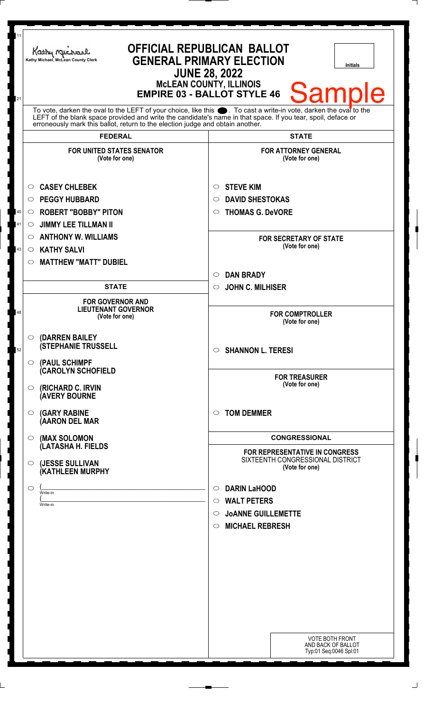| 11<br>21 | <b>OFFICIAL REPUBLICAN BALLOT</b><br>Kathy Michael<br><b>GENERAL PRIMARY ELECTION</b><br>Kathy Michael, McLean County Clerk<br>Initials<br><b>JUNE 28, 2022</b><br><b>McLEAN COUNTY, ILLINOIS</b><br><b>Sample</b><br><b>EMPIRE 03 - BALLOT STYLE 46</b>                                                               |                                                                                      |
|----------|------------------------------------------------------------------------------------------------------------------------------------------------------------------------------------------------------------------------------------------------------------------------------------------------------------------------|--------------------------------------------------------------------------------------|
|          | To vote, darken the oval to the LEFT of your choice, like this $\bullet$ . To cast a write-in vote, darken the oval to the LEFT of the blank space provided and write the candidate's name in that space. If you tear, spoil, deface<br>erroneously mark this ballot, return to the election judge and obtain another. |                                                                                      |
|          | <b>FEDERAL</b>                                                                                                                                                                                                                                                                                                         | <b>STATE</b>                                                                         |
|          | <b>FOR UNITED STATES SENATOR</b><br>(Vote for one)                                                                                                                                                                                                                                                                     | <b>FOR ATTORNEY GENERAL</b><br>(Vote for one)                                        |
|          | <b>CASEY CHLEBEK</b><br>$\circ$                                                                                                                                                                                                                                                                                        | <b>STEVE KIM</b><br>$\circ$                                                          |
|          | <b>PEGGY HUBBARD</b><br>$\circ$                                                                                                                                                                                                                                                                                        | <b>DAVID SHESTOKAS</b><br>$\circ$                                                    |
| 40       | <b>ROBERT "BOBBY" PITON</b><br>$\circ$                                                                                                                                                                                                                                                                                 | <b>THOMAS G. DeVORE</b><br>$\circ$                                                   |
| 41       | <b>JIMMY LEE TILLMAN II</b><br>$\circ$                                                                                                                                                                                                                                                                                 |                                                                                      |
|          | <b>ANTHONY W. WILLIAMS</b><br>$\circ$                                                                                                                                                                                                                                                                                  | <b>FOR SECRETARY OF STATE</b>                                                        |
| 43       | <b>KATHY SALVI</b><br>$\circ$                                                                                                                                                                                                                                                                                          | (Vote for one)                                                                       |
|          | <b>MATTHEW "MATT" DUBIEL</b><br>$\circ$                                                                                                                                                                                                                                                                                |                                                                                      |
|          |                                                                                                                                                                                                                                                                                                                        | <b>DAN BRADY</b><br>$\circ$                                                          |
|          | <b>STATE</b>                                                                                                                                                                                                                                                                                                           | <b>JOHN C. MILHISER</b><br>$\circ$                                                   |
| 48       | <b>FOR GOVERNOR AND</b><br><b>LIEUTENANT GOVERNOR</b><br>(Vote for one)                                                                                                                                                                                                                                                | <b>FOR COMPTROLLER</b><br>(Vote for one)                                             |
| 52       | (DARREN BAILEY<br>$\circ$<br><b>(STEPHANIE TRUSSELL</b><br>(PAUL SCHIMPF<br>$\bigcirc$                                                                                                                                                                                                                                 | $\circ$ SHANNON L. TERESI                                                            |
|          | (CAROLYN SCHOFIELD<br>(RICHARD C. IRVIN<br>$\circ$<br><b>(AVERY BOURNE</b>                                                                                                                                                                                                                                             | <b>FOR TREASURER</b><br>(Vote for one)                                               |
|          | <b>(GARY RABINE</b><br>$\circ$<br>(AARON DEL MAR                                                                                                                                                                                                                                                                       | <b>TOM DEMMER</b><br>$\circ$                                                         |
|          | (MAX SOLOMON<br>$\circ$                                                                                                                                                                                                                                                                                                | <b>CONGRESSIONAL</b>                                                                 |
|          | (LATASHA H. FIELDS<br>(JESSE SULLIVAN<br>O<br>(KATHLEEN MURPHY                                                                                                                                                                                                                                                         | FOR REPRESENTATIVE IN CONGRESS<br>SIXTEENTH CONGRESSIONAL DISTRICT<br>(Vote for one) |
|          | ◯                                                                                                                                                                                                                                                                                                                      | <b>DARIN LaHOOD</b><br>$\circ$                                                       |
|          | Write-in<br>Write-in                                                                                                                                                                                                                                                                                                   | $\circ$ WALT PETERS                                                                  |
|          |                                                                                                                                                                                                                                                                                                                        | $\circ$ JOANNE GUILLEMETTE                                                           |
|          |                                                                                                                                                                                                                                                                                                                        | <b>MICHAEL REBRESH</b><br>$\circ$                                                    |
|          |                                                                                                                                                                                                                                                                                                                        |                                                                                      |
|          |                                                                                                                                                                                                                                                                                                                        |                                                                                      |
|          |                                                                                                                                                                                                                                                                                                                        |                                                                                      |
|          |                                                                                                                                                                                                                                                                                                                        |                                                                                      |
|          |                                                                                                                                                                                                                                                                                                                        |                                                                                      |
|          |                                                                                                                                                                                                                                                                                                                        |                                                                                      |
|          |                                                                                                                                                                                                                                                                                                                        |                                                                                      |
|          |                                                                                                                                                                                                                                                                                                                        |                                                                                      |
|          |                                                                                                                                                                                                                                                                                                                        | <b>VOTE BOTH FRONT</b><br>AND BACK OF BALLOT<br>Typ:01 Seq:0046 Spl:01               |